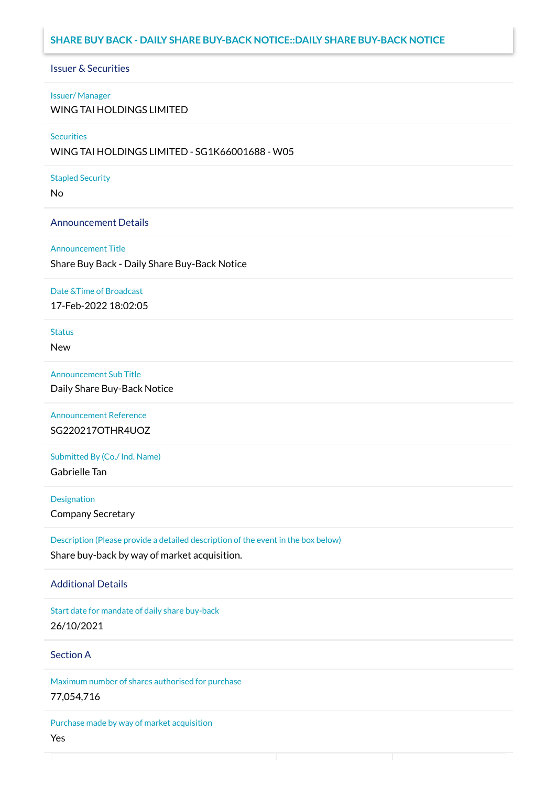# **SHARE BUY BACK - DAILY SHARE BUY-BACK NOTICE::DAILY SHARE BUY-BACK NOTICE**

### Issuer & Securities

#### Issuer/ Manager

WING TAI HOLDINGS LIMITED

### **Securities**

WING TAI HOLDINGS LIMITED - SG1K66001688 - W05

### Stapled Security

No

### Announcement Details

#### Announcement Title

Share Buy Back - Daily Share Buy-Back Notice

#### Date &Time of Broadcast

17-Feb-2022 18:02:05

# **Status**

New

### Announcement Sub Title

Daily Share Buy-Back Notice

Announcement Reference SG220217OTHR4UOZ

Submitted By (Co./ Ind. Name) Gabrielle Tan

**Designation** 

Company Secretary

Description (Please provide a detailed description of the event in the box below) Share buy-back by way of market acquisition.

### Additional Details

Start date for mandate of daily share buy-back 26/10/2021

# Section A

Maximum number of shares authorised for purchase 77,054,716

Purchase made by way of market acquisition Yes